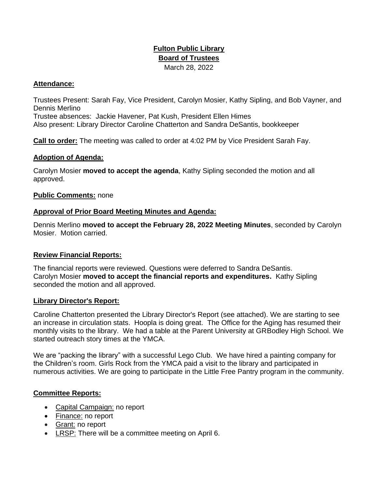# **Fulton Public Library Board of Trustees**  March 28, 2022

# **Attendance:**

Trustees Present: Sarah Fay, Vice President, Carolyn Mosier, Kathy Sipling, and Bob Vayner, and Dennis Merlino Trustee absences: Jackie Havener, Pat Kush, President Ellen Himes Also present: Library Director Caroline Chatterton and Sandra DeSantis, bookkeeper

**Call to order:** The meeting was called to order at 4:02 PM by Vice President Sarah Fay.

### **Adoption of Agenda:**

Carolyn Mosier **moved to accept the agenda**, Kathy Sipling seconded the motion and all approved.

### **Public Comments:** none

#### **Approval of Prior Board Meeting Minutes and Agenda:**

Dennis Merlino **moved to accept the February 28, 2022 Meeting Minutes**, seconded by Carolyn Mosier. Motion carried.

#### **Review Financial Reports:**

The financial reports were reviewed. Questions were deferred to Sandra DeSantis. Carolyn Mosier **moved to accept the financial reports and expenditures.** Kathy Sipling seconded the motion and all approved.

#### **Library Director's Report:**

Caroline Chatterton presented the Library Director's Report (see attached). We are starting to see an increase in circulation stats. Hoopla is doing great. The Office for the Aging has resumed their monthly visits to the library. We had a table at the Parent University at GRBodley High School. We started outreach story times at the YMCA.

We are "packing the library" with a successful Lego Club. We have hired a painting company for the Children's room. Girls Rock from the YMCA paid a visit to the library and participated in numerous activities. We are going to participate in the Little Free Pantry program in the community.

# **Committee Reports:**

- Capital Campaign: no report
- Finance: no report
- Grant: no report
- LRSP: There will be a committee meeting on April 6.